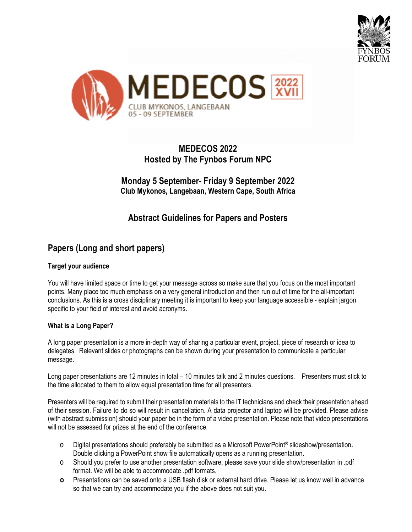



# **MEDECOS 2022 Hosted by The Fynbos Forum NPC**

**Monday 5 September- Friday 9 September 2022 Club Mykonos, Langebaan, Western Cape, South Africa**

# **Abstract Guidelines for Papers and Posters**

# **Papers (Long and short papers)**

## **Target your audience**

You will have limited space or time to get your message across so make sure that you focus on the most important points. Many place too much emphasis on a very general introduction and then run out of time for the all-important conclusions. As this is a cross disciplinary meeting it is important to keep your language accessible - explain jargon specific to your field of interest and avoid acronyms.

## **What is a Long Paper?**

A long paper presentation is a more in-depth way of sharing a particular event, project, piece of research or idea to delegates. Relevant slides or photographs can be shown during your presentation to communicate a particular message.

Long paper presentations are 12 minutes in total – 10 minutes talk and 2 minutes questions. Presenters must stick to the time allocated to them to allow equal presentation time for all presenters.

Presenters will be required to submit their presentation materials to the IT technicians and check their presentation ahead of their session. Failure to do so will result in cancellation. A data projector and laptop will be provided. Please advise (with abstract submission) should your paper be in the form of a video presentation. Please note that video presentations will not be assessed for prizes at the end of the conference.

- o Digital presentations should preferably be submitted as a Microsoft PowerPoint® slideshow/presentation**.** Double clicking a PowerPoint show file automatically opens as a running presentation.
- o Should you prefer to use another presentation software, please save your slide show/presentation in .pdf format. We will be able to accommodate .pdf formats.
- **o** Presentations can be saved onto a USB flash disk or external hard drive. Please let us know well in advance so that we can try and accommodate you if the above does not suit you.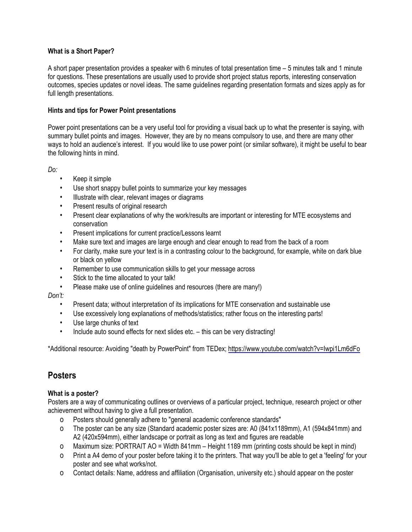## **What is a Short Paper?**

A short paper presentation provides a speaker with 6 minutes of total presentation time – 5 minutes talk and 1 minute for questions. These presentations are usually used to provide short project status reports, interesting conservation outcomes, species updates or novel ideas. The same guidelines regarding presentation formats and sizes apply as for full length presentations.

### **Hints and tips for Power Point presentations**

Power point presentations can be a very useful tool for providing a visual back up to what the presenter is saying, with summary bullet points and images. However, they are by no means compulsory to use, and there are many other ways to hold an audience's interest. If you would like to use power point (or similar software), it might be useful to bear the following hints in mind.

*Do:*

- Keep it simple
- Use short snappy bullet points to summarize your key messages
- Illustrate with clear, relevant images or diagrams
- Present results of original research
- Present clear explanations of why the work/results are important or interesting for MTE ecosystems and conservation
- Present implications for current practice/Lessons learnt
- Make sure text and images are large enough and clear enough to read from the back of a room
- For clarity, make sure your text is in a contrasting colour to the background, for example, white on dark blue or black on yellow
- Remember to use communication skills to get your message across
- Stick to the time allocated to your talk!
- Please make use of online guidelines and resources (there are many!)

*Don't:*

- Present data; without interpretation of its implications for MTE conservation and sustainable use
- Use excessively long explanations of methods/statistics; rather focus on the interesting parts!
- Use large chunks of text
- Include auto sound effects for next slides etc. this can be very distracting!

\*Additional resource: Avoiding "death by PowerPoint" from TEDex; https://www.youtube.com/watch?v=Iwpi1Lm6dFo

## **Posters**

#### **What is a poster?**

Posters are a way of communicating outlines or overviews of a particular project, technique, research project or other achievement without having to give a full presentation.

- o Posters should generally adhere to "general academic conference standards"
- o The poster can be any size (Standard academic poster sizes are: A0 (841x1189mm), A1 (594x841mm) and A2 (420x594mm), either landscape or portrait as long as text and figures are readable
- o Maximum size: PORTRAIT AO = Width 841mm Height 1189 mm (printing costs should be kept in mind)
- o Print a A4 demo of your poster before taking it to the printers. That way you'll be able to get a 'feeling' for your poster and see what works/not.
- o Contact details: Name, address and affiliation (Organisation, university etc.) should appear on the poster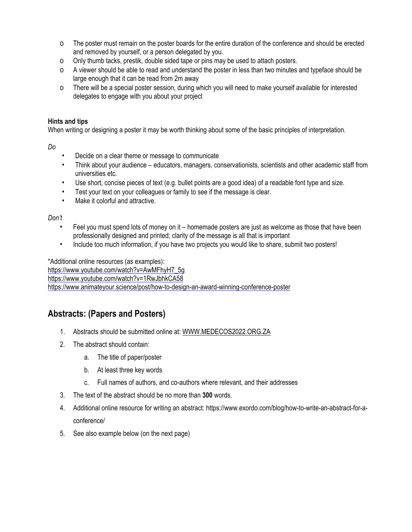- o The poster must remain on the poster boards for the entire duration of the conference and should be erected and removed by yourself, or a person delegated by you.
- o Only thumb tacks, prestik, double sided tape or pins may be used to attach posters.
- o A viewer should be able to read and understand the poster in less than two minutes and typeface should be large enough that it can be read from 2m away
- o There will be a special poster session, during which you will need to make yourself available for interested delegates to engage with you about your project

## **Hints and tips**

When writing or designing a poster it may be worth thinking about some of the basic principles of interpretation.

*Do*

- Decide on a clear theme or message to communicate
- Think about your audience educators, managers, conservationists, scientists and other academic staff from universities etc.
- Use short, concise pieces of text (e.g. bullet points are a good idea) of a readable font type and size.
- Test your text on your colleagues or family to see if the message is clear.
- Make it colorful and attractive.

*Don't*

- Feel you must spend lots of money on it homemade posters are just as welcome as those that have been professionally designed and printed; clarity of the message is all that is important
- Include too much information, if you have two projects you would like to share, submit two posters!

\*Additional online resources (as examples): https://www.youtube.com/watch?v=AwMFhyH7\_5g https://www.youtube.com/watch?v=1RwJbhkCA58 https://www.animateyour.science/post/how-to-design-an-award-winning-conference-poster

# **Abstracts: (Papers and Posters)**

- 1. Abstracts should be submitted online at: WWW.MEDECOS2022.ORG.ZA
- 2. The abstract should contain:
	- a. The title of paper/poster
	- b. At least three key words
	- c. Full names of authors, and co-authors where relevant, and their addresses
- 3. The text of the abstract should be no more than **300** words.
- 4. Additional online resource for writing an abstract: https://www.exordo.com/blog/how-to-write-an-abstract-for-aconference/
- 5. See also example below (on the next page)